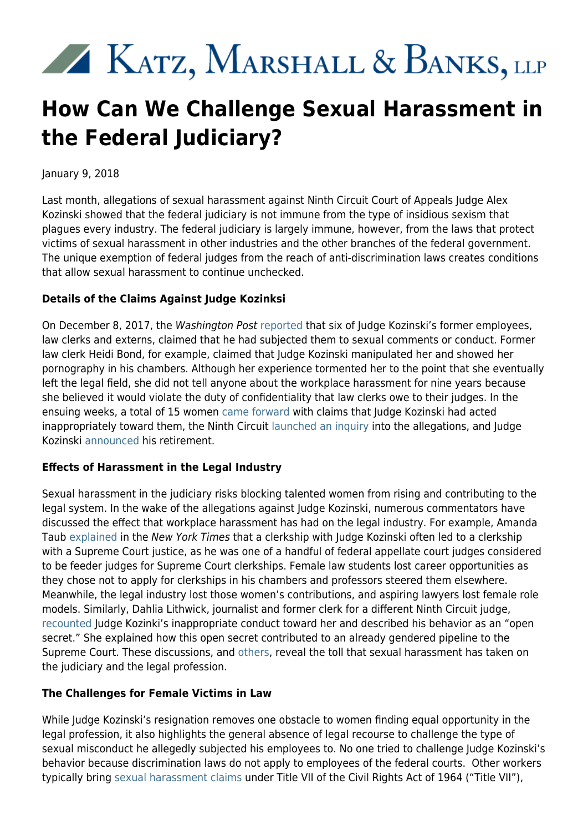# XX KATZ, MARSHALL & BANKS, LLP

# **How Can We Challenge Sexual Harassment in the Federal Judiciary?**

January 9, 2018

Last month, allegations of sexual harassment against Ninth Circuit Court of Appeals Judge Alex Kozinski showed that the federal judiciary is not immune from the type of insidious sexism that plagues every industry. The federal judiciary is largely immune, however, from the laws that protect victims of sexual harassment in other industries and the other branches of the federal government. The unique exemption of federal judges from the reach of anti-discrimination laws creates conditions that allow sexual harassment to continue unchecked.

## **Details of the Claims Against Judge Kozinksi**

On December 8, 2017, the Washington Post [reported](https://www.washingtonpost.com/world/national-security/prominent-appeals-court-judge-alex-kozinski-accused-of-sexual-misconduct/2017/12/08/1763e2b8-d913-11e7-a841-2066faf731ef_story.html?utm_term=.f56282a68c15) that six of Judge Kozinski's former employees, law clerks and externs, claimed that he had subjected them to sexual comments or conduct. Former law clerk Heidi Bond, for example, claimed that Judge Kozinski manipulated her and showed her pornography in his chambers. Although her experience tormented her to the point that she eventually left the legal field, she did not tell anyone about the workplace harassment for nine years because she believed it would violate the duty of confidentiality that law clerks owe to their judges. In the ensuing weeks, a total of 15 women [came forward](https://www.washingtonpost.com/world/national-security/nine-more-women-say-judge-subjected-them-to-inappropriate-behavior-including-four-who-say-he-touched-or-kissed-them/2017/12/15/8729b736-e105-11e7-8679-a9728984779c_story.html?utm_term=.b7c504bb5873) with claims that Judge Kozinski had acted inappropriately toward them, the Ninth Circuit [launched an inquiry](https://assets.documentcloud.org/documents/4329592/17-90118order.pdf) into the allegations, and Judge Kozinski [announced](https://www.law.com/nationallawjournal/sites/therecorder/2017/12/18/judge-alex-kozinski-apologizing-amid-harassment-claims-retires-immediately/?et=editorial&bu=National%20Law%20Journal&cn=20171218&src=EMC-Email&pt=Daily%20Headlines) his retirement.

### **Effects of Harassment in the Legal Industry**

Sexual harassment in the judiciary risks blocking talented women from rising and contributing to the legal system. In the wake of the allegations against Judge Kozinski, numerous commentators have discussed the effect that workplace harassment has had on the legal industry. For example, Amanda Taub [explained](https://www.nytimes.com/2017/12/14/us/how-one-harasser-can-rob-a-generation-of-women.html) in the New York Times that a clerkship with Judge Kozinski often led to a clerkship with a Supreme Court justice, as he was one of a handful of federal appellate court judges considered to be feeder judges for Supreme Court clerkships. Female law students lost career opportunities as they chose not to apply for clerkships in his chambers and professors steered them elsewhere. Meanwhile, the legal industry lost those women's contributions, and aspiring lawyers lost female role models. Similarly, Dahlia Lithwick, journalist and former clerk for a different Ninth Circuit judge, [recounted](http://www.slate.com/articles/news_and_politics/jurisprudence/2017/12/judge_alex_kozinski_made_us_all_victims_and_accomplices.html) Judge Kozinki's inappropriate conduct toward her and described his behavior as an "open secret." She explained how this open secret contributed to an already gendered pipeline to the Supreme Court. These discussions, and [others,](http://www.slate.com/articles/podcasts/amicus/2017/12/judge_alex_kozinski_s_accusers_speak_out.html) reveal the toll that sexual harassment has taken on the judiciary and the legal profession.

### **The Challenges for Female Victims in Law**

While Judge Kozinski's resignation removes one obstacle to women finding equal opportunity in the legal profession, it also highlights the general absence of legal recourse to challenge the type of sexual misconduct he allegedly subjected his employees to. No one tried to challenge Judge Kozinski's behavior because discrimination laws do not apply to employees of the federal courts. Other workers typically bring [sexual harassment claims](https://www.kmblegal.com/practice-areas/sexual-harassment) under Title VII of the Civil Rights Act of 1964 ("Title VII"),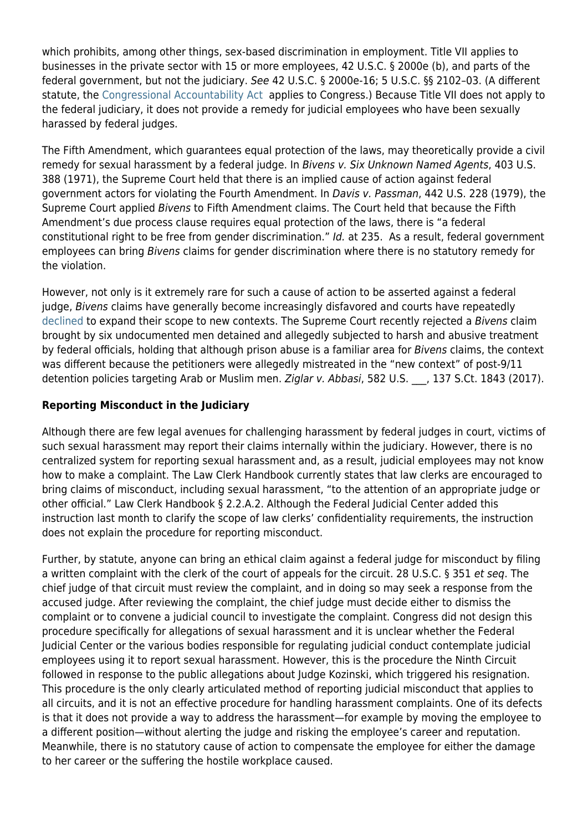which prohibits, among other things, sex-based discrimination in employment. Title VII applies to businesses in the private sector with 15 or more employees, 42 U.S.C. § 2000e (b), and parts of the federal government, but not the judiciary. See 42 U.S.C. § 2000e-16; 5 U.S.C. §§ 2102–03. (A different statute, the [Congressional Accountability Act](https://www.kmblegal.com/resources/what-congressional-accountability-act) applies to Congress.) Because Title VII does not apply to the federal judiciary, it does not provide a remedy for judicial employees who have been sexually harassed by federal judges.

The Fifth Amendment, which guarantees equal protection of the laws, may theoretically provide a civil remedy for sexual harassment by a federal judge. In Bivens v. Six Unknown Named Agents, 403 U.S. 388 (1971), the Supreme Court held that there is an implied cause of action against federal government actors for violating the Fourth Amendment. In Davis v. Passman, 442 U.S. 228 (1979), the Supreme Court applied Bivens to Fifth Amendment claims. The Court held that because the Fifth Amendment's due process clause requires equal protection of the laws, there is "a federal constitutional right to be free from gender discrimination." Id. at 235. As a result, federal government employees can bring Bivens claims for gender discrimination where there is no statutory remedy for the violation.

However, not only is it extremely rare for such a cause of action to be asserted against a federal judge, Bivens claims have generally become increasingly disfavored and courts have repeatedly [declined](https://www.theatlantic.com/politics/archive/2017/06/the-supreme-courts-ominous-national-security-ruling/530886/) to expand their scope to new contexts. The Supreme Court recently rejected a Bivens claim brought by six undocumented men detained and allegedly subjected to harsh and abusive treatment by federal officials, holding that although prison abuse is a familiar area for Bivens claims, the context was different because the petitioners were allegedly mistreated in the "new context" of post-9/11 detention policies targeting Arab or Muslim men. Ziglar v. Abbasi, 582 U.S. \_\_, 137 S.Ct. 1843 (2017).

#### **Reporting Misconduct in the Judiciary**

Although there are few legal avenues for challenging harassment by federal judges in court, victims of such sexual harassment may report their claims internally within the judiciary. However, there is no centralized system for reporting sexual harassment and, as a result, judicial employees may not know how to make a complaint. The Law Clerk Handbook currently states that law clerks are encouraged to bring claims of misconduct, including sexual harassment, "to the attention of an appropriate judge or other official." Law Clerk Handbook § 2.2.A.2. Although the Federal Judicial Center added this instruction last month to clarify the scope of law clerks' confidentiality requirements, the instruction does not explain the procedure for reporting misconduct.

Further, by statute, anyone can bring an ethical claim against a federal judge for misconduct by filing a written complaint with the clerk of the court of appeals for the circuit. 28 U.S.C. § 351 et seq. The chief judge of that circuit must review the complaint, and in doing so may seek a response from the accused judge. After reviewing the complaint, the chief judge must decide either to dismiss the complaint or to convene a judicial council to investigate the complaint. Congress did not design this procedure specifically for allegations of sexual harassment and it is unclear whether the Federal Judicial Center or the various bodies responsible for regulating judicial conduct contemplate judicial employees using it to report sexual harassment. However, this is the procedure the Ninth Circuit followed in response to the public allegations about Judge Kozinski, which triggered his resignation. This procedure is the only clearly articulated method of reporting judicial misconduct that applies to all circuits, and it is not an effective procedure for handling harassment complaints. One of its defects is that it does not provide a way to address the harassment—for example by moving the employee to a different position—without alerting the judge and risking the employee's career and reputation. Meanwhile, there is no statutory cause of action to compensate the employee for either the damage to her career or the suffering the hostile workplace caused.